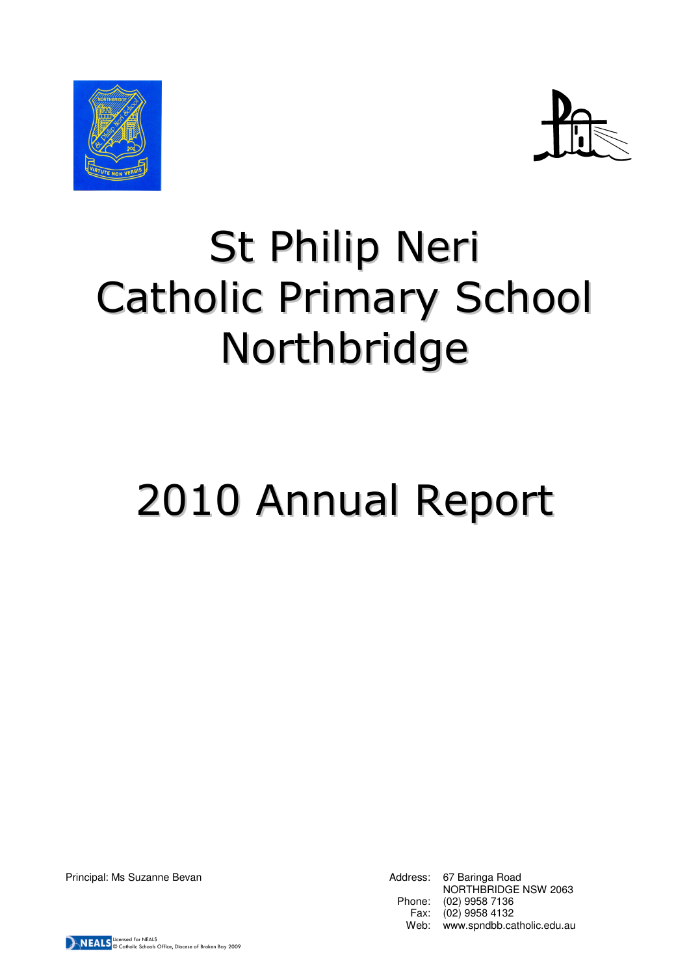



## St Philip Neri Catholic Primary School Northbridge

# 2010 Annual Report

Principal: Ms Suzanne Bevan Address: 67 Baringa Road NORTHBRIDGE NSW 2063 Phone: (02) 9958 7136 Fax: (02) 9958 4132 Web: www.spndbb.catholic.edu.au

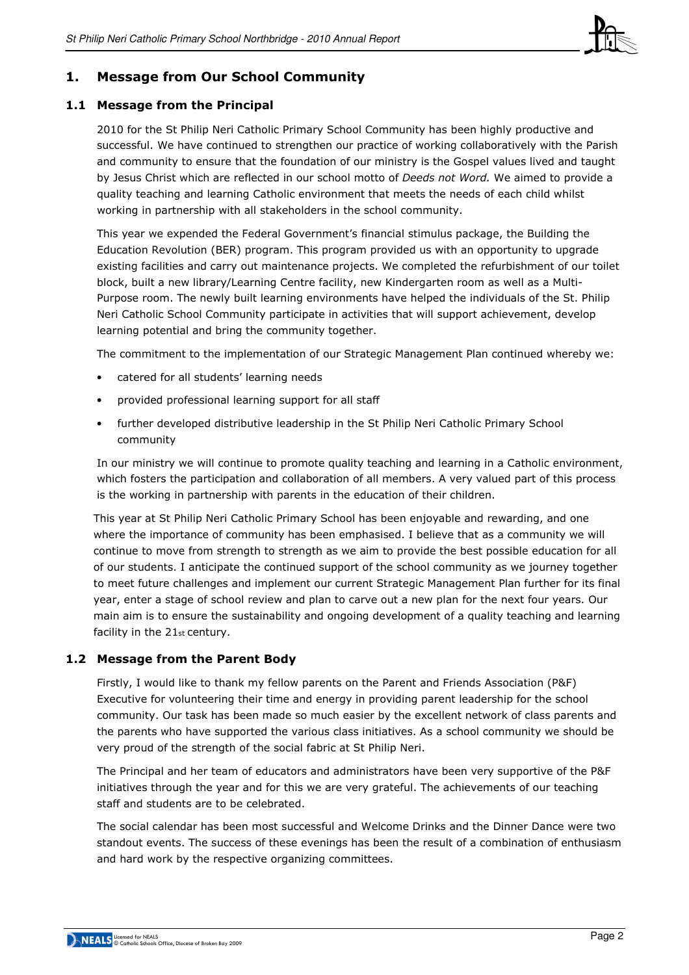

## 1. Message from Our School Community

#### 1.1 Message from the Principal

2010 for the St Philip Neri Catholic Primary School Community has been highly productive and successful. We have continued to strengthen our practice of working collaboratively with the Parish and community to ensure that the foundation of our ministry is the Gospel values lived and taught by Jesus Christ which are reflected in our school motto of Deeds not Word. We aimed to provide a quality teaching and learning Catholic environment that meets the needs of each child whilst working in partnership with all stakeholders in the school community.

This year we expended the Federal Government's financial stimulus package, the Building the Education Revolution (BER) program. This program provided us with an opportunity to upgrade existing facilities and carry out maintenance projects. We completed the refurbishment of our toilet block, built a new library/Learning Centre facility, new Kindergarten room as well as a Multi-Purpose room. The newly built learning environments have helped the individuals of the St. Philip Neri Catholic School Community participate in activities that will support achievement, develop learning potential and bring the community together.

The commitment to the implementation of our Strategic Management Plan continued whereby we:

- catered for all students' learning needs
- provided professional learning support for all staff
- further developed distributive leadership in the St Philip Neri Catholic Primary School community

In our ministry we will continue to promote quality teaching and learning in a Catholic environment, which fosters the participation and collaboration of all members. A very valued part of this process is the working in partnership with parents in the education of their children.

This year at St Philip Neri Catholic Primary School has been enjoyable and rewarding, and one where the importance of community has been emphasised. I believe that as a community we will continue to move from strength to strength as we aim to provide the best possible education for all of our students. I anticipate the continued support of the school community as we journey together to meet future challenges and implement our current Strategic Management Plan further for its final year, enter a stage of school review and plan to carve out a new plan for the next four years. Our main aim is to ensure the sustainability and ongoing development of a quality teaching and learning facility in the 21st century.

## 1.2 Message from the Parent Body

Firstly, I would like to thank my fellow parents on the Parent and Friends Association (P&F) Executive for volunteering their time and energy in providing parent leadership for the school community. Our task has been made so much easier by the excellent network of class parents and the parents who have supported the various class initiatives. As a school community we should be very proud of the strength of the social fabric at St Philip Neri.

The Principal and her team of educators and administrators have been very supportive of the P&F initiatives through the year and for this we are very grateful. The achievements of our teaching staff and students are to be celebrated.

The social calendar has been most successful and Welcome Drinks and the Dinner Dance were two standout events. The success of these evenings has been the result of a combination of enthusiasm and hard work by the respective organizing committees.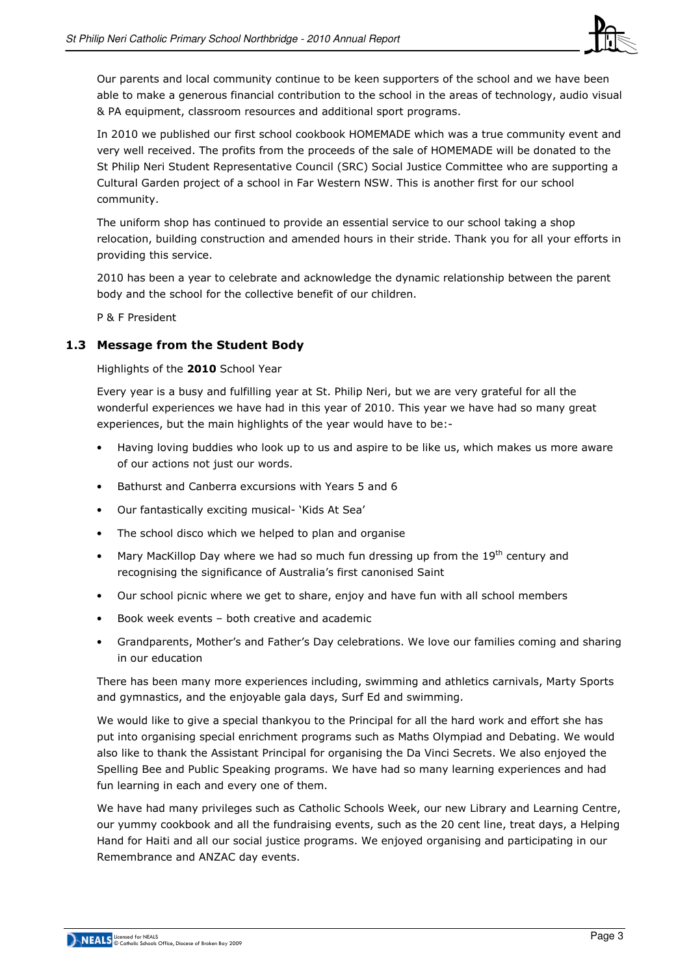

Our parents and local community continue to be keen supporters of the school and we have been able to make a generous financial contribution to the school in the areas of technology, audio visual & PA equipment, classroom resources and additional sport programs.

In 2010 we published our first school cookbook HOMEMADE which was a true community event and very well received. The profits from the proceeds of the sale of HOMEMADE will be donated to the St Philip Neri Student Representative Council (SRC) Social Justice Committee who are supporting a Cultural Garden project of a school in Far Western NSW. This is another first for our school community.

The uniform shop has continued to provide an essential service to our school taking a shop relocation, building construction and amended hours in their stride. Thank you for all your efforts in providing this service.

2010 has been a year to celebrate and acknowledge the dynamic relationship between the parent body and the school for the collective benefit of our children.

P & F President

## 1.3 Message from the Student Body

Highlights of the 2010 School Year

Every year is a busy and fulfilling year at St. Philip Neri, but we are very grateful for all the wonderful experiences we have had in this year of 2010. This year we have had so many great experiences, but the main highlights of the year would have to be:-

- Having loving buddies who look up to us and aspire to be like us, which makes us more aware of our actions not just our words.
- Bathurst and Canberra excursions with Years 5 and 6
- Our fantastically exciting musical- 'Kids At Sea'
- The school disco which we helped to plan and organise
- Mary MacKillop Day where we had so much fun dressing up from the  $19<sup>th</sup>$  century and recognising the significance of Australia's first canonised Saint
- Our school picnic where we get to share, enjoy and have fun with all school members
- Book week events both creative and academic
- Grandparents, Mother's and Father's Day celebrations. We love our families coming and sharing in our education

There has been many more experiences including, swimming and athletics carnivals, Marty Sports and gymnastics, and the enjoyable gala days, Surf Ed and swimming.

We would like to give a special thankyou to the Principal for all the hard work and effort she has put into organising special enrichment programs such as Maths Olympiad and Debating. We would also like to thank the Assistant Principal for organising the Da Vinci Secrets. We also enjoyed the Spelling Bee and Public Speaking programs. We have had so many learning experiences and had fun learning in each and every one of them.

We have had many privileges such as Catholic Schools Week, our new Library and Learning Centre, our yummy cookbook and all the fundraising events, such as the 20 cent line, treat days, a Helping Hand for Haiti and all our social justice programs. We enjoyed organising and participating in our Remembrance and ANZAC day events.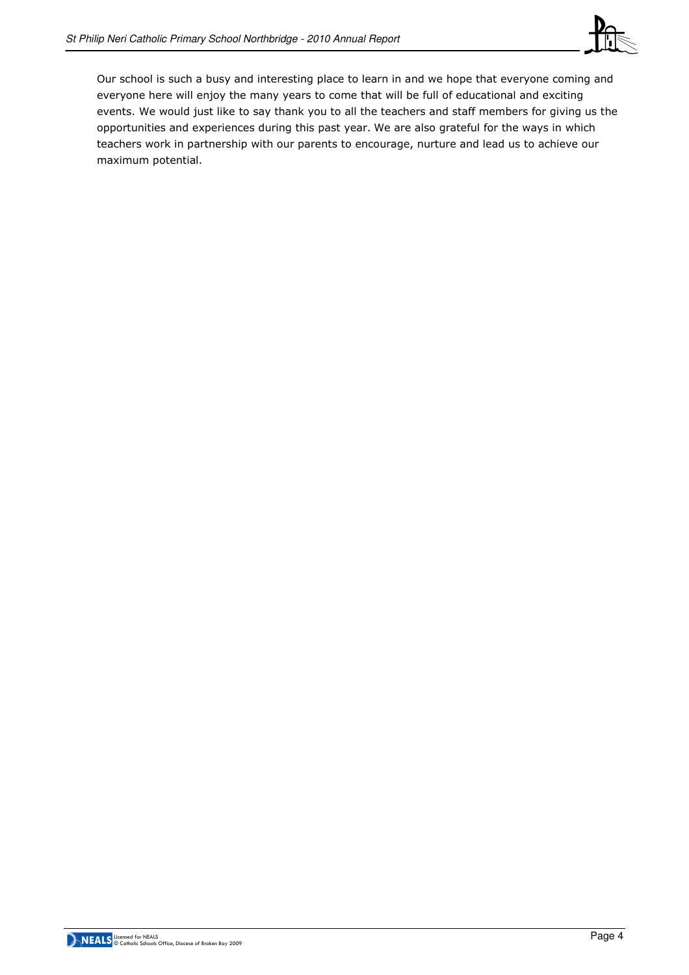

Our school is such a busy and interesting place to learn in and we hope that everyone coming and everyone here will enjoy the many years to come that will be full of educational and exciting events. We would just like to say thank you to all the teachers and staff members for giving us the opportunities and experiences during this past year. We are also grateful for the ways in which teachers work in partnership with our parents to encourage, nurture and lead us to achieve our maximum potential.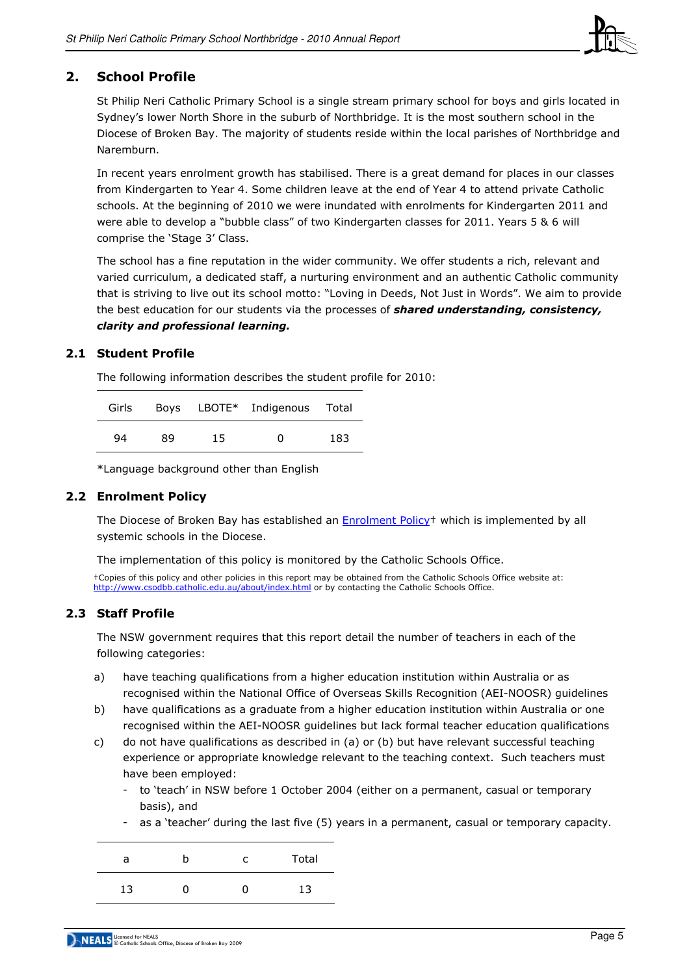

## 2. School Profile

St Philip Neri Catholic Primary School is a single stream primary school for boys and girls located in Sydney's lower North Shore in the suburb of Northbridge. It is the most southern school in the Diocese of Broken Bay. The majority of students reside within the local parishes of Northbridge and Naremburn.

In recent years enrolment growth has stabilised. There is a great demand for places in our classes from Kindergarten to Year 4. Some children leave at the end of Year 4 to attend private Catholic schools. At the beginning of 2010 we were inundated with enrolments for Kindergarten 2011 and were able to develop a "bubble class" of two Kindergarten classes for 2011. Years 5 & 6 will comprise the 'Stage 3' Class.

The school has a fine reputation in the wider community. We offer students a rich, relevant and varied curriculum, a dedicated staff, a nurturing environment and an authentic Catholic community that is striving to live out its school motto: "Loving in Deeds, Not Just in Words". We aim to provide the best education for our students via the processes of shared understanding, consistency, clarity and professional learning.

#### 2.1 Student Profile

The following information describes the student profile for 2010:

| Girls |    |     | Boys LBOTE* Indigenous Total |     |
|-------|----|-----|------------------------------|-----|
| 94    | 89 | 15. | <sup>0</sup>                 | 183 |

\*Language background other than English

## 2.2 Enrolment Policy

The Diocese of Broken Bay has established an **Enrolment Policy<sup>+</sup>** which is implemented by all systemic schools in the Diocese.

The implementation of this policy is monitored by the Catholic Schools Office.

†Copies of this policy and other policies in this report may be obtained from the Catholic Schools Office website at: http://www.csodbb.catholic.edu.au/about/index.html or by contacting the Catholic Schools Office.

## 2.3 Staff Profile

The NSW government requires that this report detail the number of teachers in each of the following categories:

- a) have teaching qualifications from a higher education institution within Australia or as recognised within the National Office of Overseas Skills Recognition (AEI-NOOSR) guidelines
- b) have qualifications as a graduate from a higher education institution within Australia or one recognised within the AEI-NOOSR guidelines but lack formal teacher education qualifications
- c) do not have qualifications as described in (a) or (b) but have relevant successful teaching experience or appropriate knowledge relevant to the teaching context. Such teachers must have been employed:
	- to 'teach' in NSW before 1 October 2004 (either on a permanent, casual or temporary basis), and
	- as a 'teacher' during the last five (5) years in a permanent, casual or temporary capacity.

| a  | n | C   | Total |
|----|---|-----|-------|
| 13 |   | . . | 13    |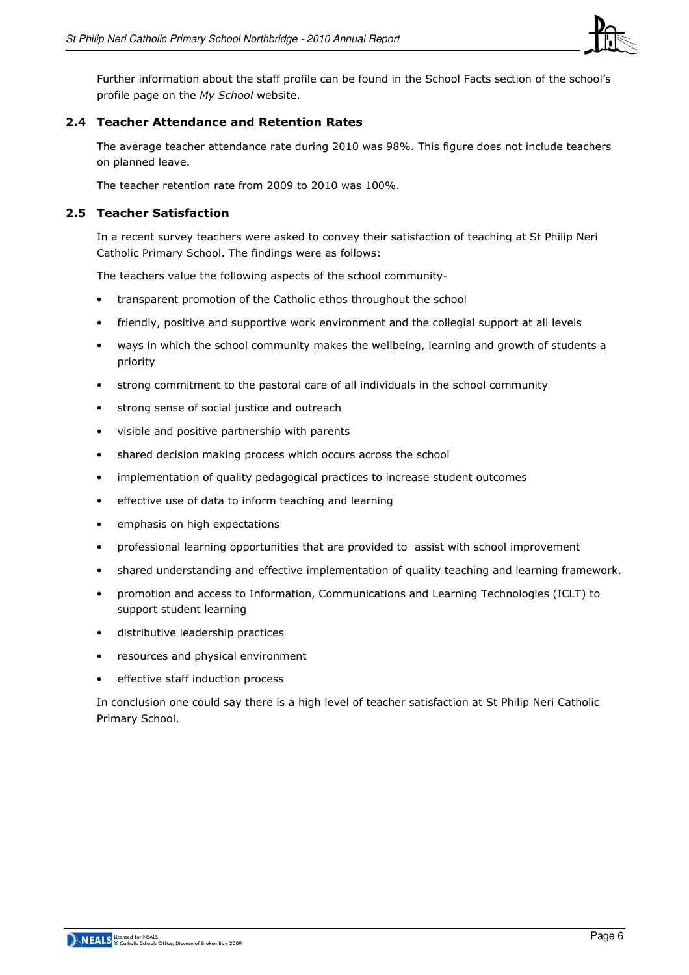

Further information about the staff profile can be found in the School Facts section of the school's profile page on the My School website.

## 2.4 Teacher Attendance and Retention Rates

The average teacher attendance rate during 2010 was 98%. This figure does not include teachers on planned leave.

The teacher retention rate from 2009 to 2010 was 100%.

## 2.5 Teacher Satisfaction

In a recent survey teachers were asked to convey their satisfaction of teaching at St Philip Neri Catholic Primary School. The findings were as follows:

The teachers value the following aspects of the school community-

- transparent promotion of the Catholic ethos throughout the school
- friendly, positive and supportive work environment and the collegial support at all levels
- ways in which the school community makes the wellbeing, learning and growth of students a priority
- strong commitment to the pastoral care of all individuals in the school community
- strong sense of social justice and outreach
- visible and positive partnership with parents
- shared decision making process which occurs across the school
- implementation of quality pedagogical practices to increase student outcomes
- effective use of data to inform teaching and learning
- emphasis on high expectations
- professional learning opportunities that are provided to assist with school improvement
- shared understanding and effective implementation of quality teaching and learning framework.
- promotion and access to Information, Communications and Learning Technologies (ICLT) to support student learning
- distributive leadership practices
- resources and physical environment
- effective staff induction process

In conclusion one could say there is a high level of teacher satisfaction at St Philip Neri Catholic Primary School.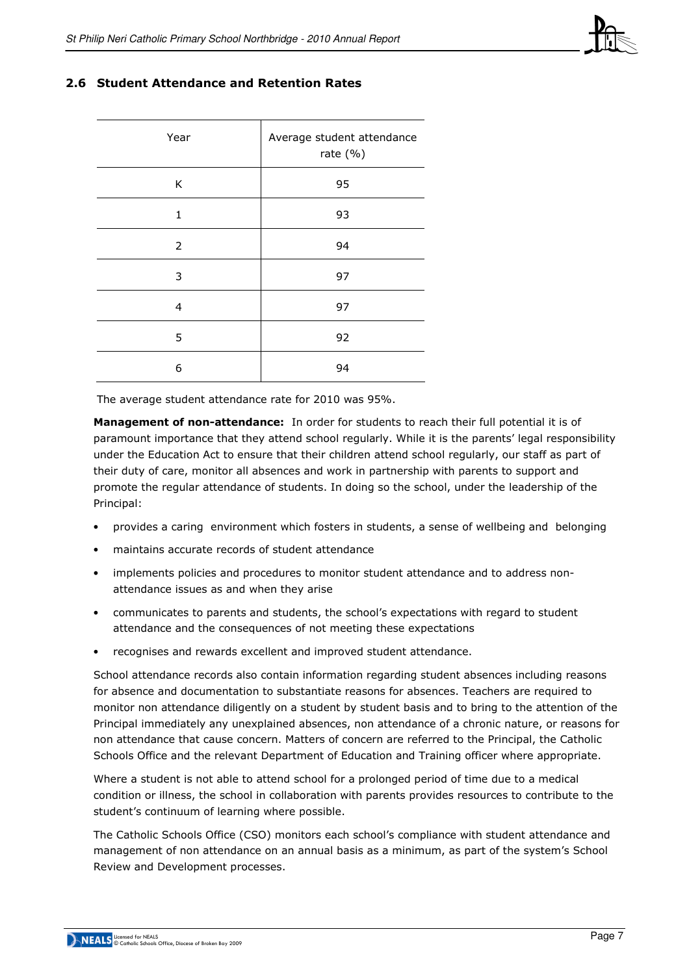

#### 2.6 Student Attendance and Retention Rates

| Year           | Average student attendance<br>rate $(% )$ |
|----------------|-------------------------------------------|
| K              | 95                                        |
| 1              | 93                                        |
| $\overline{2}$ | 94                                        |
| 3              | 97                                        |
| 4              | 97                                        |
| 5              | 92                                        |
| 6              | 94                                        |

The average student attendance rate for 2010 was 95%.

Management of non-attendance: In order for students to reach their full potential it is of paramount importance that they attend school regularly. While it is the parents' legal responsibility under the Education Act to ensure that their children attend school regularly, our staff as part of their duty of care, monitor all absences and work in partnership with parents to support and promote the regular attendance of students. In doing so the school, under the leadership of the Principal:

- provides a caring environment which fosters in students, a sense of wellbeing and belonging
- maintains accurate records of student attendance
- implements policies and procedures to monitor student attendance and to address nonattendance issues as and when they arise
- communicates to parents and students, the school's expectations with regard to student attendance and the consequences of not meeting these expectations
- recognises and rewards excellent and improved student attendance.

School attendance records also contain information regarding student absences including reasons for absence and documentation to substantiate reasons for absences. Teachers are required to monitor non attendance diligently on a student by student basis and to bring to the attention of the Principal immediately any unexplained absences, non attendance of a chronic nature, or reasons for non attendance that cause concern. Matters of concern are referred to the Principal, the Catholic Schools Office and the relevant Department of Education and Training officer where appropriate.

Where a student is not able to attend school for a prolonged period of time due to a medical condition or illness, the school in collaboration with parents provides resources to contribute to the student's continuum of learning where possible.

The Catholic Schools Office (CSO) monitors each school's compliance with student attendance and management of non attendance on an annual basis as a minimum, as part of the system's School Review and Development processes.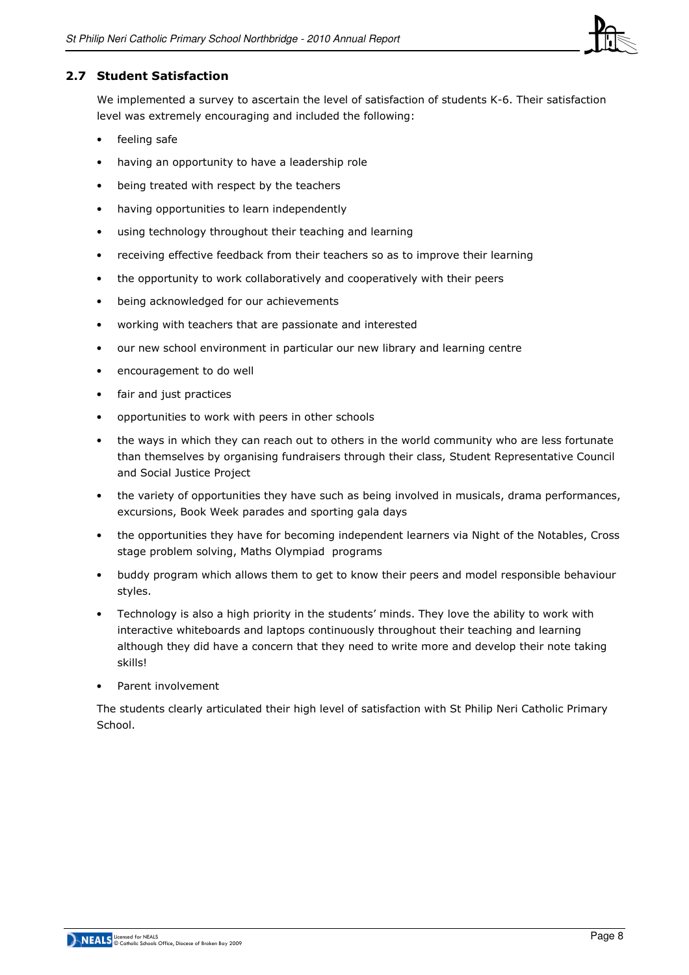

## 2.7 Student Satisfaction

We implemented a survey to ascertain the level of satisfaction of students K-6. Their satisfaction level was extremely encouraging and included the following:

- feeling safe
- having an opportunity to have a leadership role
- being treated with respect by the teachers
- having opportunities to learn independently
- using technology throughout their teaching and learning
- receiving effective feedback from their teachers so as to improve their learning
- the opportunity to work collaboratively and cooperatively with their peers
- being acknowledged for our achievements
- working with teachers that are passionate and interested
- our new school environment in particular our new library and learning centre
- encouragement to do well
- fair and just practices
- opportunities to work with peers in other schools
- the ways in which they can reach out to others in the world community who are less fortunate than themselves by organising fundraisers through their class, Student Representative Council and Social Justice Project
- the variety of opportunities they have such as being involved in musicals, drama performances, excursions, Book Week parades and sporting gala days
- the opportunities they have for becoming independent learners via Night of the Notables, Cross stage problem solving, Maths Olympiad programs
- buddy program which allows them to get to know their peers and model responsible behaviour styles.
- Technology is also a high priority in the students' minds. They love the ability to work with interactive whiteboards and laptops continuously throughout their teaching and learning although they did have a concern that they need to write more and develop their note taking skills!
- Parent involvement

The students clearly articulated their high level of satisfaction with St Philip Neri Catholic Primary School.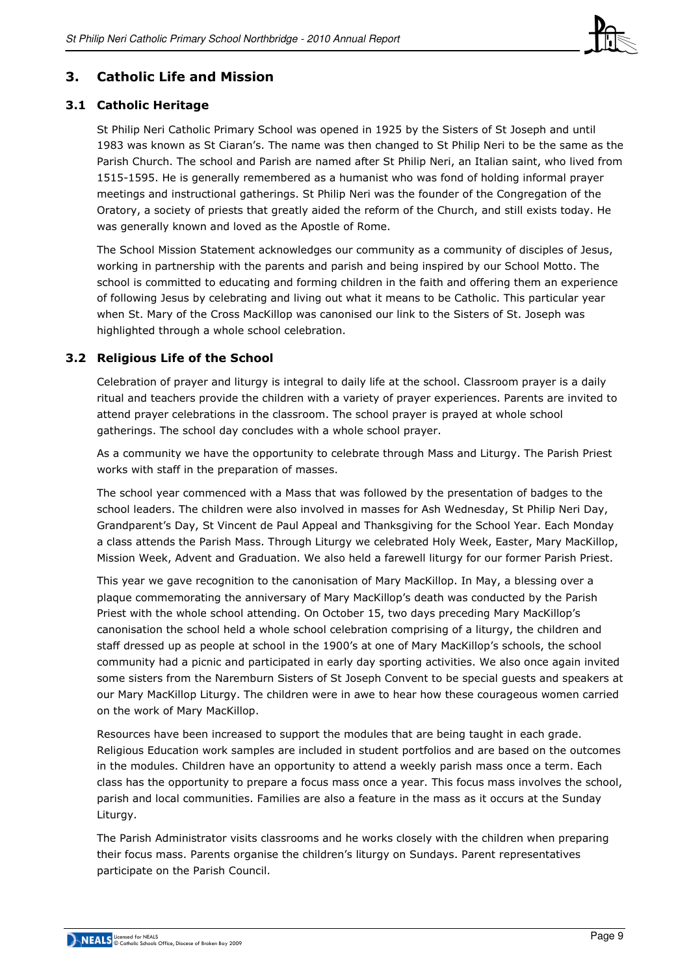

## 3. Catholic Life and Mission

## 3.1 Catholic Heritage

St Philip Neri Catholic Primary School was opened in 1925 by the Sisters of St Joseph and until 1983 was known as St Ciaran's. The name was then changed to St Philip Neri to be the same as the Parish Church. The school and Parish are named after St Philip Neri, an Italian saint, who lived from 1515-1595. He is generally remembered as a humanist who was fond of holding informal prayer meetings and instructional gatherings. St Philip Neri was the founder of the Congregation of the Oratory, a society of priests that greatly aided the reform of the Church, and still exists today. He was generally known and loved as the Apostle of Rome.

The School Mission Statement acknowledges our community as a community of disciples of Jesus, working in partnership with the parents and parish and being inspired by our School Motto. The school is committed to educating and forming children in the faith and offering them an experience of following Jesus by celebrating and living out what it means to be Catholic. This particular year when St. Mary of the Cross MacKillop was canonised our link to the Sisters of St. Joseph was highlighted through a whole school celebration.

## 3.2 Religious Life of the School

Celebration of prayer and liturgy is integral to daily life at the school. Classroom prayer is a daily ritual and teachers provide the children with a variety of prayer experiences. Parents are invited to attend prayer celebrations in the classroom. The school prayer is prayed at whole school gatherings. The school day concludes with a whole school prayer.

As a community we have the opportunity to celebrate through Mass and Liturgy. The Parish Priest works with staff in the preparation of masses.

The school year commenced with a Mass that was followed by the presentation of badges to the school leaders. The children were also involved in masses for Ash Wednesday, St Philip Neri Day, Grandparent's Day, St Vincent de Paul Appeal and Thanksgiving for the School Year. Each Monday a class attends the Parish Mass. Through Liturgy we celebrated Holy Week, Easter, Mary MacKillop, Mission Week, Advent and Graduation. We also held a farewell liturgy for our former Parish Priest.

This year we gave recognition to the canonisation of Mary MacKillop. In May, a blessing over a plaque commemorating the anniversary of Mary MacKillop's death was conducted by the Parish Priest with the whole school attending. On October 15, two days preceding Mary MacKillop's canonisation the school held a whole school celebration comprising of a liturgy, the children and staff dressed up as people at school in the 1900's at one of Mary MacKillop's schools, the school community had a picnic and participated in early day sporting activities. We also once again invited some sisters from the Naremburn Sisters of St Joseph Convent to be special guests and speakers at our Mary MacKillop Liturgy. The children were in awe to hear how these courageous women carried on the work of Mary MacKillop.

Resources have been increased to support the modules that are being taught in each grade. Religious Education work samples are included in student portfolios and are based on the outcomes in the modules. Children have an opportunity to attend a weekly parish mass once a term. Each class has the opportunity to prepare a focus mass once a year. This focus mass involves the school, parish and local communities. Families are also a feature in the mass as it occurs at the Sunday Liturgy.

The Parish Administrator visits classrooms and he works closely with the children when preparing their focus mass. Parents organise the children's liturgy on Sundays. Parent representatives participate on the Parish Council.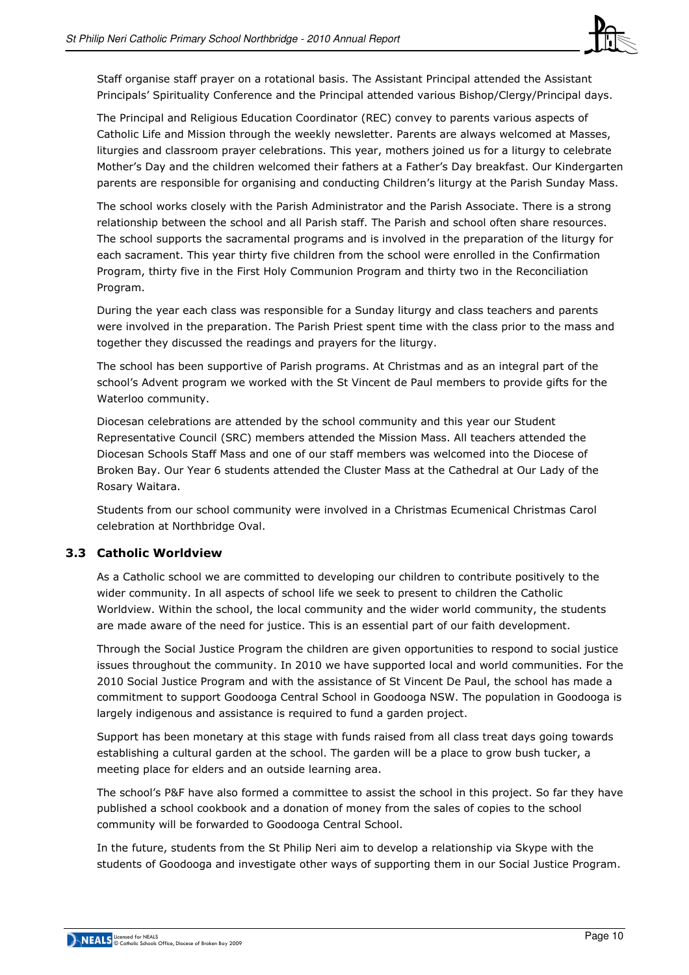

Staff organise staff prayer on a rotational basis. The Assistant Principal attended the Assistant Principals' Spirituality Conference and the Principal attended various Bishop/Clergy/Principal days.

The Principal and Religious Education Coordinator (REC) convey to parents various aspects of Catholic Life and Mission through the weekly newsletter. Parents are always welcomed at Masses, liturgies and classroom prayer celebrations. This year, mothers joined us for a liturgy to celebrate Mother's Day and the children welcomed their fathers at a Father's Day breakfast. Our Kindergarten parents are responsible for organising and conducting Children's liturgy at the Parish Sunday Mass.

The school works closely with the Parish Administrator and the Parish Associate. There is a strong relationship between the school and all Parish staff. The Parish and school often share resources. The school supports the sacramental programs and is involved in the preparation of the liturgy for each sacrament. This year thirty five children from the school were enrolled in the Confirmation Program, thirty five in the First Holy Communion Program and thirty two in the Reconciliation Program.

During the year each class was responsible for a Sunday liturgy and class teachers and parents were involved in the preparation. The Parish Priest spent time with the class prior to the mass and together they discussed the readings and prayers for the liturgy.

The school has been supportive of Parish programs. At Christmas and as an integral part of the school's Advent program we worked with the St Vincent de Paul members to provide gifts for the Waterloo community.

Diocesan celebrations are attended by the school community and this year our Student Representative Council (SRC) members attended the Mission Mass. All teachers attended the Diocesan Schools Staff Mass and one of our staff members was welcomed into the Diocese of Broken Bay. Our Year 6 students attended the Cluster Mass at the Cathedral at Our Lady of the Rosary Waitara.

Students from our school community were involved in a Christmas Ecumenical Christmas Carol celebration at Northbridge Oval.

#### 3.3 Catholic Worldview

As a Catholic school we are committed to developing our children to contribute positively to the wider community. In all aspects of school life we seek to present to children the Catholic Worldview. Within the school, the local community and the wider world community, the students are made aware of the need for justice. This is an essential part of our faith development.

Through the Social Justice Program the children are given opportunities to respond to social justice issues throughout the community. In 2010 we have supported local and world communities. For the 2010 Social Justice Program and with the assistance of St Vincent De Paul, the school has made a commitment to support Goodooga Central School in Goodooga NSW. The population in Goodooga is largely indigenous and assistance is required to fund a garden project.

Support has been monetary at this stage with funds raised from all class treat days going towards establishing a cultural garden at the school. The garden will be a place to grow bush tucker, a meeting place for elders and an outside learning area.

The school's P&F have also formed a committee to assist the school in this project. So far they have published a school cookbook and a donation of money from the sales of copies to the school community will be forwarded to Goodooga Central School.

In the future, students from the St Philip Neri aim to develop a relationship via Skype with the students of Goodooga and investigate other ways of supporting them in our Social Justice Program.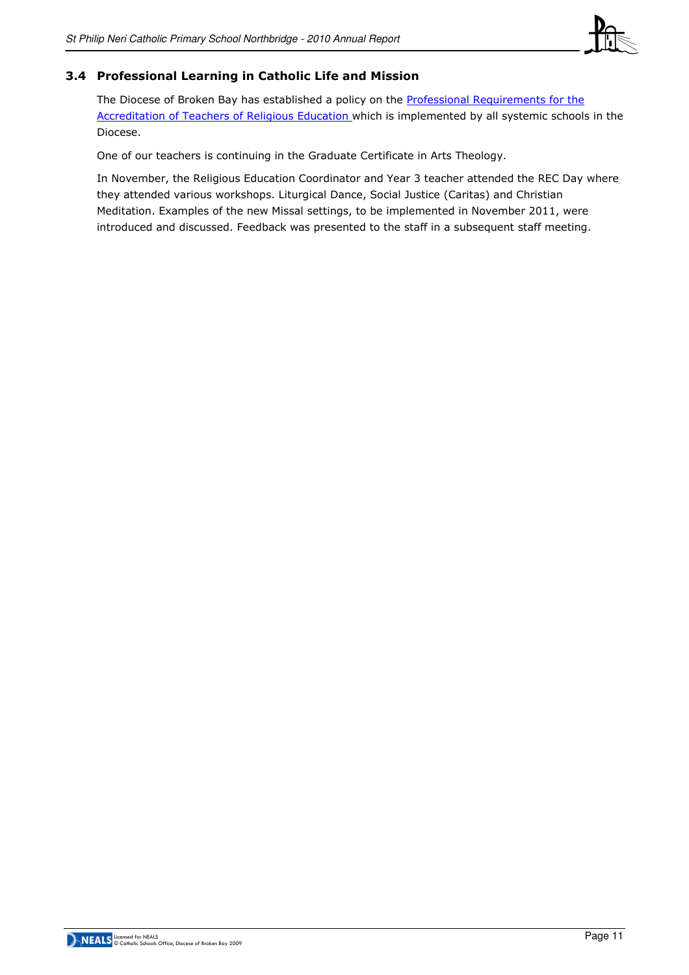

## 3.4 Professional Learning in Catholic Life and Mission

The Diocese of Broken Bay has established a policy on the Professional Requirements for the Accreditation of Teachers of Religious Education which is implemented by all systemic schools in the Diocese.

One of our teachers is continuing in the Graduate Certificate in Arts Theology.

In November, the Religious Education Coordinator and Year 3 teacher attended the REC Day where they attended various workshops. Liturgical Dance, Social Justice (Caritas) and Christian Meditation. Examples of the new Missal settings, to be implemented in November 2011, were introduced and discussed. Feedback was presented to the staff in a subsequent staff meeting.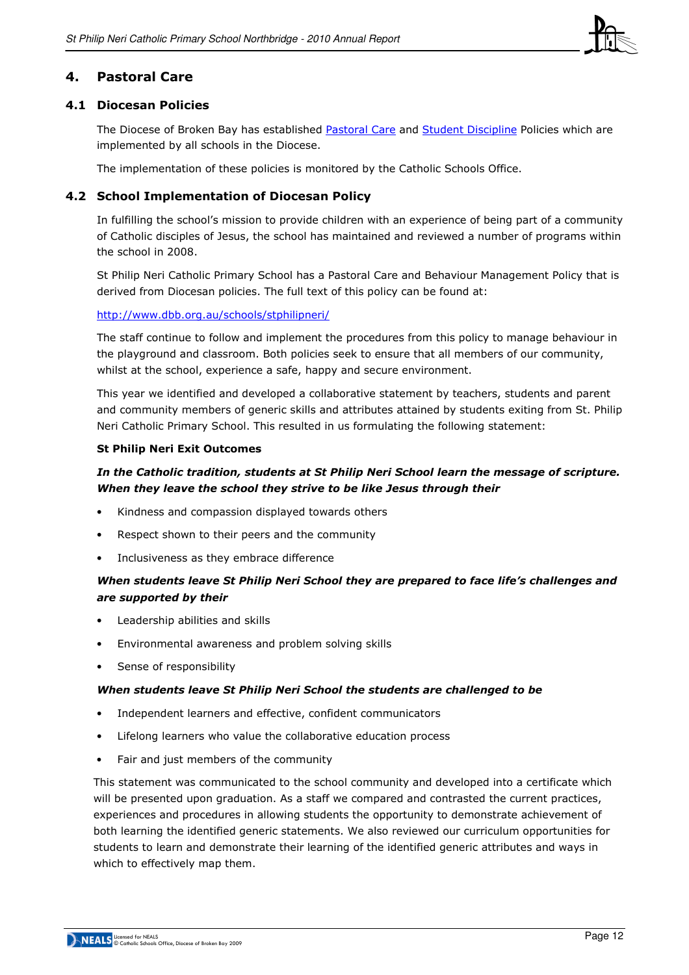

## 4. Pastoral Care

#### 4.1 Diocesan Policies

The Diocese of Broken Bay has established Pastoral Care and Student Discipline Policies which are implemented by all schools in the Diocese.

The implementation of these policies is monitored by the Catholic Schools Office.

#### 4.2 School Implementation of Diocesan Policy

In fulfilling the school's mission to provide children with an experience of being part of a community of Catholic disciples of Jesus, the school has maintained and reviewed a number of programs within the school in 2008.

St Philip Neri Catholic Primary School has a Pastoral Care and Behaviour Management Policy that is derived from Diocesan policies. The full text of this policy can be found at:

#### http://www.dbb.org.au/schools/stphilipneri/

The staff continue to follow and implement the procedures from this policy to manage behaviour in the playground and classroom. Both policies seek to ensure that all members of our community, whilst at the school, experience a safe, happy and secure environment.

This year we identified and developed a collaborative statement by teachers, students and parent and community members of generic skills and attributes attained by students exiting from St. Philip Neri Catholic Primary School. This resulted in us formulating the following statement:

#### St Philip Neri Exit Outcomes

## In the Catholic tradition, students at St Philip Neri School learn the message of scripture. When they leave the school they strive to be like Jesus through their

- Kindness and compassion displayed towards others
- Respect shown to their peers and the community
- Inclusiveness as they embrace difference

## When students leave St Philip Neri School they are prepared to face life's challenges and are supported by their

- Leadership abilities and skills
- Environmental awareness and problem solving skills
- Sense of responsibility

#### When students leave St Philip Neri School the students are challenged to be

- Independent learners and effective, confident communicators
- Lifelong learners who value the collaborative education process
- Fair and just members of the community

This statement was communicated to the school community and developed into a certificate which will be presented upon graduation. As a staff we compared and contrasted the current practices, experiences and procedures in allowing students the opportunity to demonstrate achievement of both learning the identified generic statements. We also reviewed our curriculum opportunities for students to learn and demonstrate their learning of the identified generic attributes and ways in which to effectively map them.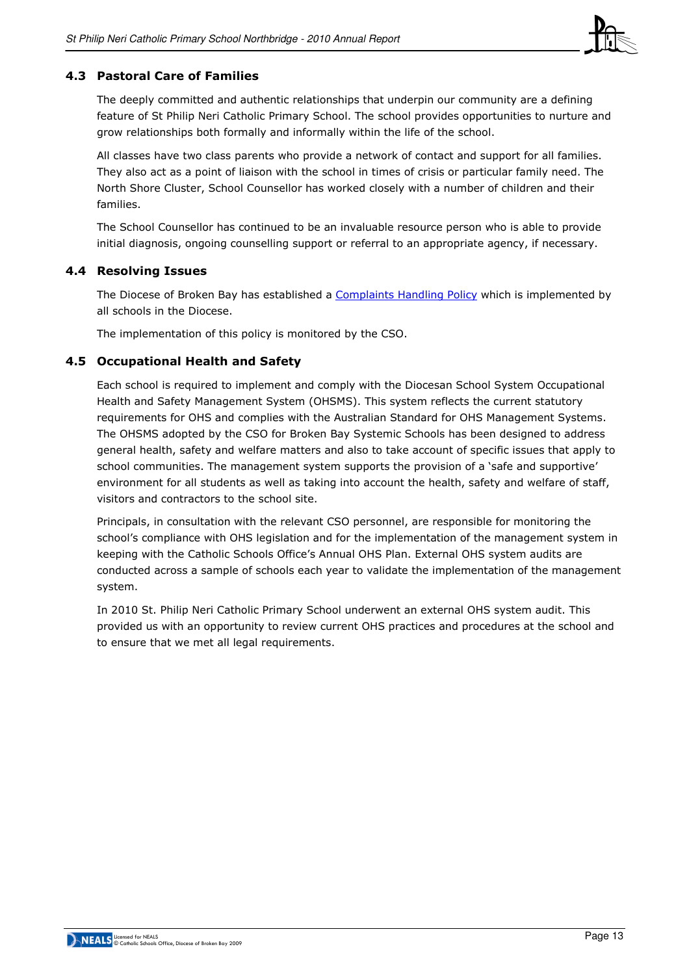

## 4.3 Pastoral Care of Families

The deeply committed and authentic relationships that underpin our community are a defining feature of St Philip Neri Catholic Primary School. The school provides opportunities to nurture and grow relationships both formally and informally within the life of the school.

All classes have two class parents who provide a network of contact and support for all families. They also act as a point of liaison with the school in times of crisis or particular family need. The North Shore Cluster, School Counsellor has worked closely with a number of children and their families.

The School Counsellor has continued to be an invaluable resource person who is able to provide initial diagnosis, ongoing counselling support or referral to an appropriate agency, if necessary.

#### 4.4 Resolving Issues

The Diocese of Broken Bay has established a Complaints Handling Policy which is implemented by all schools in the Diocese.

The implementation of this policy is monitored by the CSO.

#### 4.5 Occupational Health and Safety

Each school is required to implement and comply with the Diocesan School System Occupational Health and Safety Management System (OHSMS). This system reflects the current statutory requirements for OHS and complies with the Australian Standard for OHS Management Systems. The OHSMS adopted by the CSO for Broken Bay Systemic Schools has been designed to address general health, safety and welfare matters and also to take account of specific issues that apply to school communities. The management system supports the provision of a 'safe and supportive' environment for all students as well as taking into account the health, safety and welfare of staff, visitors and contractors to the school site.

Principals, in consultation with the relevant CSO personnel, are responsible for monitoring the school's compliance with OHS legislation and for the implementation of the management system in keeping with the Catholic Schools Office's Annual OHS Plan. External OHS system audits are conducted across a sample of schools each year to validate the implementation of the management system.

In 2010 St. Philip Neri Catholic Primary School underwent an external OHS system audit. This provided us with an opportunity to review current OHS practices and procedures at the school and to ensure that we met all legal requirements.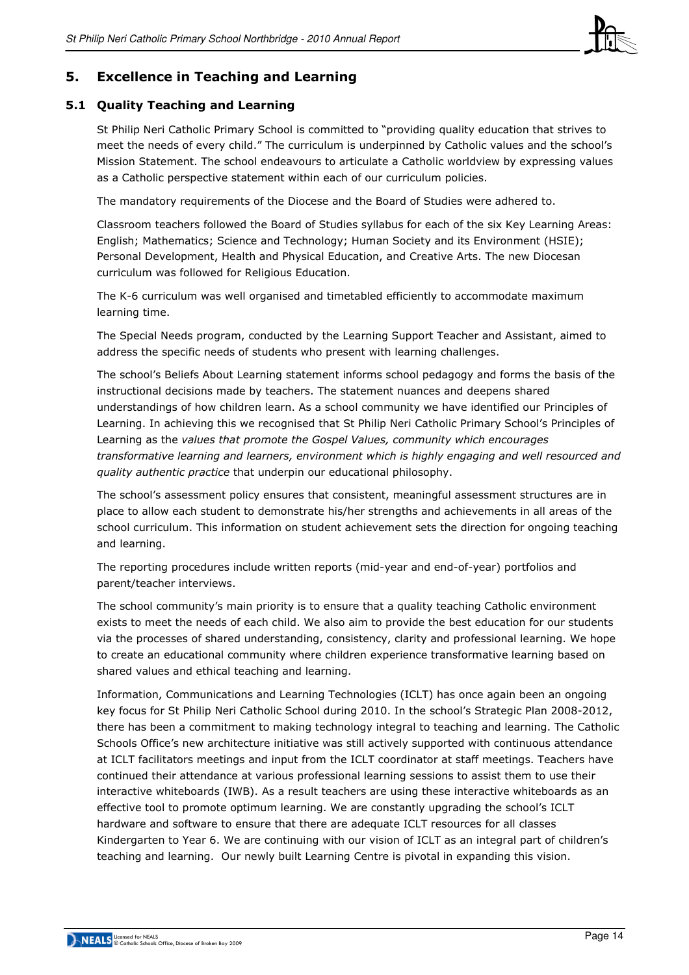

## 5. Excellence in Teaching and Learning

## 5.1 Quality Teaching and Learning

St Philip Neri Catholic Primary School is committed to "providing quality education that strives to meet the needs of every child." The curriculum is underpinned by Catholic values and the school's Mission Statement. The school endeavours to articulate a Catholic worldview by expressing values as a Catholic perspective statement within each of our curriculum policies.

The mandatory requirements of the Diocese and the Board of Studies were adhered to.

Classroom teachers followed the Board of Studies syllabus for each of the six Key Learning Areas: English; Mathematics; Science and Technology; Human Society and its Environment (HSIE); Personal Development, Health and Physical Education, and Creative Arts. The new Diocesan curriculum was followed for Religious Education.

The K-6 curriculum was well organised and timetabled efficiently to accommodate maximum learning time.

The Special Needs program, conducted by the Learning Support Teacher and Assistant, aimed to address the specific needs of students who present with learning challenges.

The school's Beliefs About Learning statement informs school pedagogy and forms the basis of the instructional decisions made by teachers. The statement nuances and deepens shared understandings of how children learn. As a school community we have identified our Principles of Learning. In achieving this we recognised that St Philip Neri Catholic Primary School's Principles of Learning as the values that promote the Gospel Values, community which encourages transformative learning and learners, environment which is highly engaging and well resourced and quality authentic practice that underpin our educational philosophy.

The school's assessment policy ensures that consistent, meaningful assessment structures are in place to allow each student to demonstrate his/her strengths and achievements in all areas of the school curriculum. This information on student achievement sets the direction for ongoing teaching and learning.

The reporting procedures include written reports (mid-year and end-of-year) portfolios and parent/teacher interviews.

The school community's main priority is to ensure that a quality teaching Catholic environment exists to meet the needs of each child. We also aim to provide the best education for our students via the processes of shared understanding, consistency, clarity and professional learning. We hope to create an educational community where children experience transformative learning based on shared values and ethical teaching and learning.

Information, Communications and Learning Technologies (ICLT) has once again been an ongoing key focus for St Philip Neri Catholic School during 2010. In the school's Strategic Plan 2008-2012, there has been a commitment to making technology integral to teaching and learning. The Catholic Schools Office's new architecture initiative was still actively supported with continuous attendance at ICLT facilitators meetings and input from the ICLT coordinator at staff meetings. Teachers have continued their attendance at various professional learning sessions to assist them to use their interactive whiteboards (IWB). As a result teachers are using these interactive whiteboards as an effective tool to promote optimum learning. We are constantly upgrading the school's ICLT hardware and software to ensure that there are adequate ICLT resources for all classes Kindergarten to Year 6. We are continuing with our vision of ICLT as an integral part of children's teaching and learning. Our newly built Learning Centre is pivotal in expanding this vision.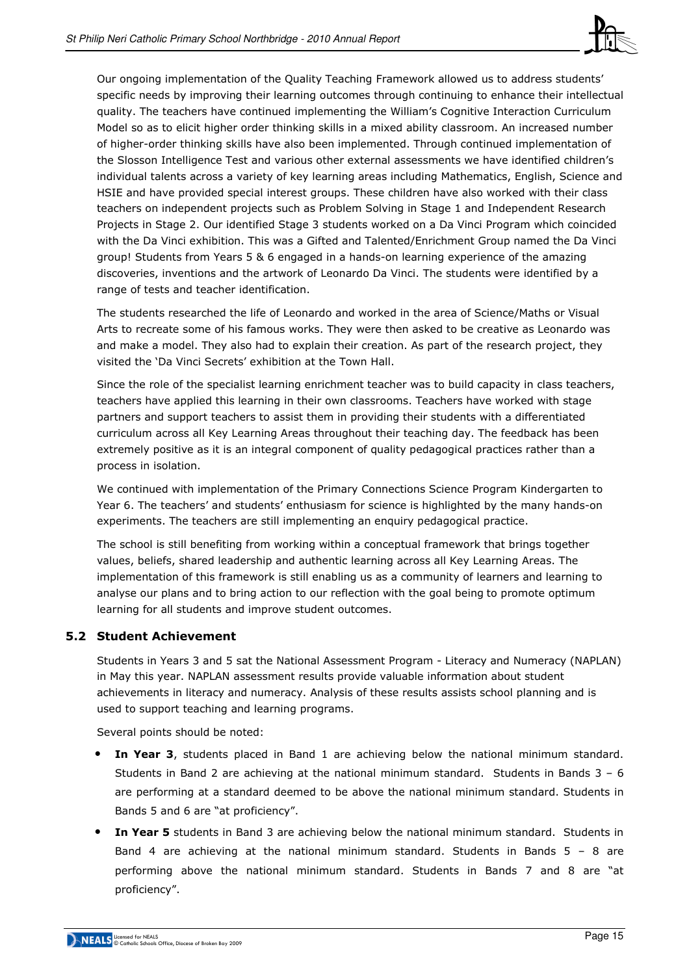

Our ongoing implementation of the Quality Teaching Framework allowed us to address students' specific needs by improving their learning outcomes through continuing to enhance their intellectual quality. The teachers have continued implementing the William's Cognitive Interaction Curriculum Model so as to elicit higher order thinking skills in a mixed ability classroom. An increased number of higher-order thinking skills have also been implemented. Through continued implementation of the Slosson Intelligence Test and various other external assessments we have identified children's individual talents across a variety of key learning areas including Mathematics, English, Science and HSIE and have provided special interest groups. These children have also worked with their class teachers on independent projects such as Problem Solving in Stage 1 and Independent Research Projects in Stage 2. Our identified Stage 3 students worked on a Da Vinci Program which coincided with the Da Vinci exhibition. This was a Gifted and Talented/Enrichment Group named the Da Vinci group! Students from Years 5 & 6 engaged in a hands-on learning experience of the amazing discoveries, inventions and the artwork of Leonardo Da Vinci. The students were identified by a range of tests and teacher identification.

The students researched the life of Leonardo and worked in the area of Science/Maths or Visual Arts to recreate some of his famous works. They were then asked to be creative as Leonardo was and make a model. They also had to explain their creation. As part of the research project, they visited the 'Da Vinci Secrets' exhibition at the Town Hall.

Since the role of the specialist learning enrichment teacher was to build capacity in class teachers, teachers have applied this learning in their own classrooms. Teachers have worked with stage partners and support teachers to assist them in providing their students with a differentiated curriculum across all Key Learning Areas throughout their teaching day. The feedback has been extremely positive as it is an integral component of quality pedagogical practices rather than a process in isolation.

We continued with implementation of the Primary Connections Science Program Kindergarten to Year 6. The teachers' and students' enthusiasm for science is highlighted by the many hands-on experiments. The teachers are still implementing an enquiry pedagogical practice.

The school is still benefiting from working within a conceptual framework that brings together values, beliefs, shared leadership and authentic learning across all Key Learning Areas. The implementation of this framework is still enabling us as a community of learners and learning to analyse our plans and to bring action to our reflection with the goal being to promote optimum learning for all students and improve student outcomes.

## 5.2 Student Achievement

Students in Years 3 and 5 sat the National Assessment Program - Literacy and Numeracy (NAPLAN) in May this year. NAPLAN assessment results provide valuable information about student achievements in literacy and numeracy. Analysis of these results assists school planning and is used to support teaching and learning programs.

Several points should be noted:

- In Year 3, students placed in Band 1 are achieving below the national minimum standard. Students in Band 2 are achieving at the national minimum standard. Students in Bands 3 – 6 are performing at a standard deemed to be above the national minimum standard. Students in Bands 5 and 6 are "at proficiency".
- **In Year 5** students in Band 3 are achieving below the national minimum standard. Students in Band 4 are achieving at the national minimum standard. Students in Bands  $5 - 8$  are performing above the national minimum standard. Students in Bands 7 and 8 are "at proficiency".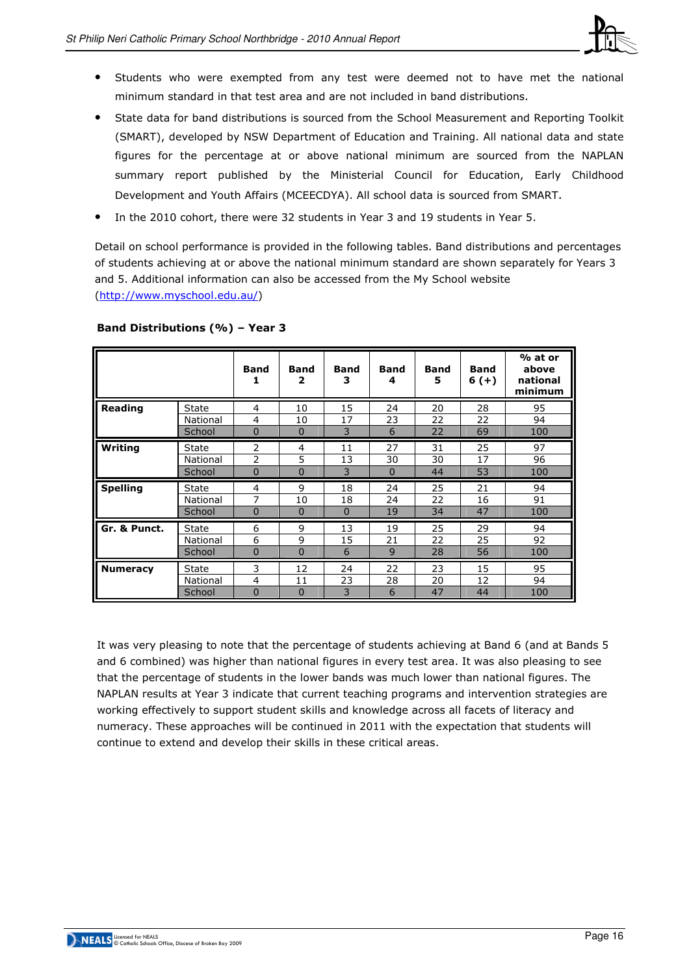

- Students who were exempted from any test were deemed not to have met the national minimum standard in that test area and are not included in band distributions.
- State data for band distributions is sourced from the School Measurement and Reporting Toolkit (SMART), developed by NSW Department of Education and Training. All national data and state figures for the percentage at or above national minimum are sourced from the NAPLAN summary report published by the Ministerial Council for Education, Early Childhood Development and Youth Affairs (MCEECDYA). All school data is sourced from SMART.
- In the 2010 cohort, there were 32 students in Year 3 and 19 students in Year 5.

Detail on school performance is provided in the following tables. Band distributions and percentages of students achieving at or above the national minimum standard are shown separately for Years 3 and 5. Additional information can also be accessed from the My School website (http://www.myschool.edu.au/)

|                 |              | <b>Band</b><br>1 | <b>Band</b><br>2 | <b>Band</b><br>з | <b>Band</b><br>4 | <b>Band</b><br>5 | <b>Band</b><br>$6(+)$ | % at or<br>above<br>national<br>minimum |
|-----------------|--------------|------------------|------------------|------------------|------------------|------------------|-----------------------|-----------------------------------------|
| Reading         | <b>State</b> | 4                | 10               | 15               | 24               | 20               | 28                    | 95                                      |
|                 | National     | 4                | 10               | 17               | 23               | 22               | 22                    | 94                                      |
| Writing         | School       | $\Omega$         | $\Omega$         | 3                | 6                | 22               | 69                    | 100                                     |
|                 | <b>State</b> | 2                | 4                | 11               | 27               | 31               | 25                    | 97                                      |
|                 | National     | 2                | 5                | 13               | 30               | 30               | 17                    | 96                                      |
|                 | School       | 0                | $\Omega$         | 3                | $\Omega$         | 44               | 53                    | 100                                     |
| <b>Spelling</b> | <b>State</b> | 4                | 9                | 18               | 24               | 25               | 21                    | 94                                      |
|                 | National     | 7                | 10               | 18               | 24               | 22               | 16                    | 91                                      |
|                 | School       | $\mathbf 0$      | $\mathbf 0$      | $\Omega$         | 19               | 34               | 47                    | 100                                     |
| Gr. & Punct.    | <b>State</b> | 6                | 9                | 13               | 19               | 25               | 29                    | 94                                      |
|                 | National     | 6                | 9                | 15               | 21               | 22               | 25                    | 92                                      |
|                 | School       | 0                | $\overline{0}$   | 6                | 9                | 28               | 56                    | 100                                     |
| <b>Numeracy</b> | <b>State</b> | 3                | 12               | 24               | 22               | 23               | 15                    | 95                                      |
|                 | National     | 4                | 11               | 23               | 28               | 20               | 12                    | 94                                      |
|                 | School       | $\overline{0}$   | $\Omega$         | 3                | 6                | 47               | 44                    | 100                                     |

#### Band Distributions (%) – Year 3

It was very pleasing to note that the percentage of students achieving at Band 6 (and at Bands 5 and 6 combined) was higher than national figures in every test area. It was also pleasing to see that the percentage of students in the lower bands was much lower than national figures. The NAPLAN results at Year 3 indicate that current teaching programs and intervention strategies are working effectively to support student skills and knowledge across all facets of literacy and numeracy. These approaches will be continued in 2011 with the expectation that students will continue to extend and develop their skills in these critical areas.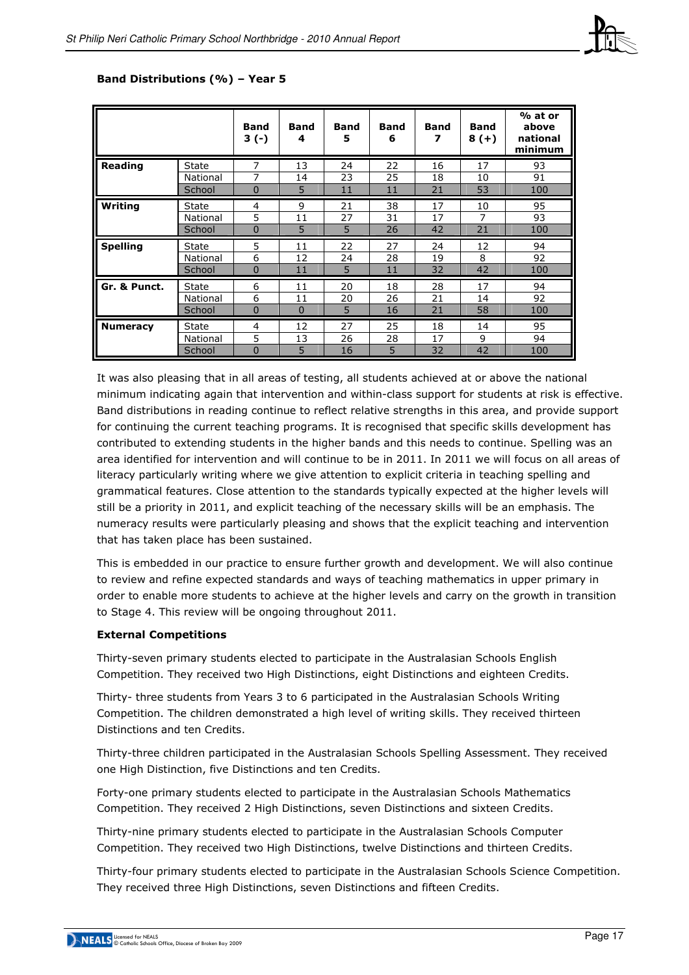

|                 |              | <b>Band</b><br>$3(-)$ | <b>Band</b><br>4 | <b>Band</b><br>5 | <b>Band</b><br>6 | <b>Band</b><br>7 | <b>Band</b><br>$8(+)$ | % at or<br>above<br>national<br>minimum |
|-----------------|--------------|-----------------------|------------------|------------------|------------------|------------------|-----------------------|-----------------------------------------|
| Reading         | <b>State</b> | 7                     | 13               | 24               | 22               | 16               | 17                    | 93                                      |
|                 | National     | 7                     | 14               | 23               | 25               | 18               | 10                    | 91                                      |
|                 | School       | $\overline{0}$        | 5                | 11               | 11               | 21               | 53                    | 100                                     |
| <b>Writing</b>  | <b>State</b> | 4                     | 9                | 21               | 38               | 17               | 10                    | 95                                      |
|                 | National     | 5                     | 11               | 27               | 31               | 17               | 7                     | 93                                      |
|                 | School       | $\overline{0}$        | 5                | 5                | 26               | 42               | 21                    | 100                                     |
| <b>Spelling</b> | State        | 5                     | 11               | 22               | 27               | 24               | 12                    | 94                                      |
|                 | National     | 6                     | 12               | 24               | 28               | 19               | 8                     | 92                                      |
|                 | School       | $\overline{0}$        | 11               | 5                | 11               | 32               | 42                    | 100                                     |
| Gr. & Punct.    | <b>State</b> | 6                     | 11               | 20               | 18               | 28               | 17                    | 94                                      |
|                 | National     | 6                     | 11               | 20               | 26               | 21               | 14                    | 92                                      |
|                 | School       | 0                     | $\mathbf 0$      | 5                | 16               | 21               | 58                    | 100                                     |
| <b>Numeracy</b> | <b>State</b> | 4                     | 12               | 27               | 25               | 18               | 14                    | 95                                      |
|                 | National     | 5                     | 13               | 26               | 28               | 17               | 9                     | 94                                      |
|                 | School       | $\Omega$              | 5                | 16               | 5                | 32               | 42                    | 100                                     |

#### Band Distributions (%) – Year 5

It was also pleasing that in all areas of testing, all students achieved at or above the national minimum indicating again that intervention and within-class support for students at risk is effective. Band distributions in reading continue to reflect relative strengths in this area, and provide support for continuing the current teaching programs. It is recognised that specific skills development has contributed to extending students in the higher bands and this needs to continue. Spelling was an area identified for intervention and will continue to be in 2011. In 2011 we will focus on all areas of literacy particularly writing where we give attention to explicit criteria in teaching spelling and grammatical features. Close attention to the standards typically expected at the higher levels will still be a priority in 2011, and explicit teaching of the necessary skills will be an emphasis. The numeracy results were particularly pleasing and shows that the explicit teaching and intervention that has taken place has been sustained.

This is embedded in our practice to ensure further growth and development. We will also continue to review and refine expected standards and ways of teaching mathematics in upper primary in order to enable more students to achieve at the higher levels and carry on the growth in transition to Stage 4. This review will be ongoing throughout 2011.

#### External Competitions

Thirty-seven primary students elected to participate in the Australasian Schools English Competition. They received two High Distinctions, eight Distinctions and eighteen Credits.

Thirty- three students from Years 3 to 6 participated in the Australasian Schools Writing Competition. The children demonstrated a high level of writing skills. They received thirteen Distinctions and ten Credits.

Thirty-three children participated in the Australasian Schools Spelling Assessment. They received one High Distinction, five Distinctions and ten Credits.

Forty-one primary students elected to participate in the Australasian Schools Mathematics Competition. They received 2 High Distinctions, seven Distinctions and sixteen Credits.

Thirty-nine primary students elected to participate in the Australasian Schools Computer Competition. They received two High Distinctions, twelve Distinctions and thirteen Credits.

Thirty-four primary students elected to participate in the Australasian Schools Science Competition. They received three High Distinctions, seven Distinctions and fifteen Credits.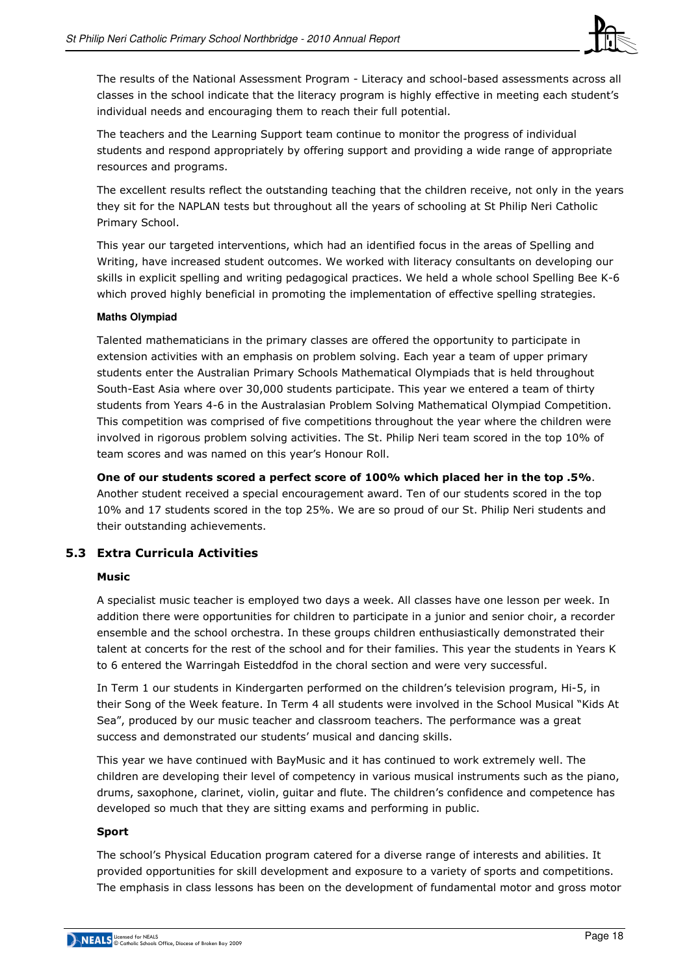

The results of the National Assessment Program - Literacy and school-based assessments across all classes in the school indicate that the literacy program is highly effective in meeting each student's individual needs and encouraging them to reach their full potential.

The teachers and the Learning Support team continue to monitor the progress of individual students and respond appropriately by offering support and providing a wide range of appropriate resources and programs.

The excellent results reflect the outstanding teaching that the children receive, not only in the years they sit for the NAPLAN tests but throughout all the years of schooling at St Philip Neri Catholic Primary School.

This year our targeted interventions, which had an identified focus in the areas of Spelling and Writing, have increased student outcomes. We worked with literacy consultants on developing our skills in explicit spelling and writing pedagogical practices. We held a whole school Spelling Bee K-6 which proved highly beneficial in promoting the implementation of effective spelling strategies.

#### **Maths Olympiad**

Talented mathematicians in the primary classes are offered the opportunity to participate in extension activities with an emphasis on problem solving. Each year a team of upper primary students enter the Australian Primary Schools Mathematical Olympiads that is held throughout South-East Asia where over 30,000 students participate. This year we entered a team of thirty students from Years 4-6 in the Australasian Problem Solving Mathematical Olympiad Competition. This competition was comprised of five competitions throughout the year where the children were involved in rigorous problem solving activities. The St. Philip Neri team scored in the top 10% of team scores and was named on this year's Honour Roll.

One of our students scored a perfect score of 100% which placed her in the top .5%. Another student received a special encouragement award. Ten of our students scored in the top 10% and 17 students scored in the top 25%. We are so proud of our St. Philip Neri students and their outstanding achievements.

## 5.3 Extra Curricula Activities

#### Music

A specialist music teacher is employed two days a week. All classes have one lesson per week. In addition there were opportunities for children to participate in a junior and senior choir, a recorder ensemble and the school orchestra. In these groups children enthusiastically demonstrated their talent at concerts for the rest of the school and for their families. This year the students in Years K to 6 entered the Warringah Eisteddfod in the choral section and were very successful.

In Term 1 our students in Kindergarten performed on the children's television program, Hi-5, in their Song of the Week feature. In Term 4 all students were involved in the School Musical "Kids At Sea", produced by our music teacher and classroom teachers. The performance was a great success and demonstrated our students' musical and dancing skills.

This year we have continued with BayMusic and it has continued to work extremely well. The children are developing their level of competency in various musical instruments such as the piano, drums, saxophone, clarinet, violin, guitar and flute. The children's confidence and competence has developed so much that they are sitting exams and performing in public.

#### Sport

The school's Physical Education program catered for a diverse range of interests and abilities. It provided opportunities for skill development and exposure to a variety of sports and competitions. The emphasis in class lessons has been on the development of fundamental motor and gross motor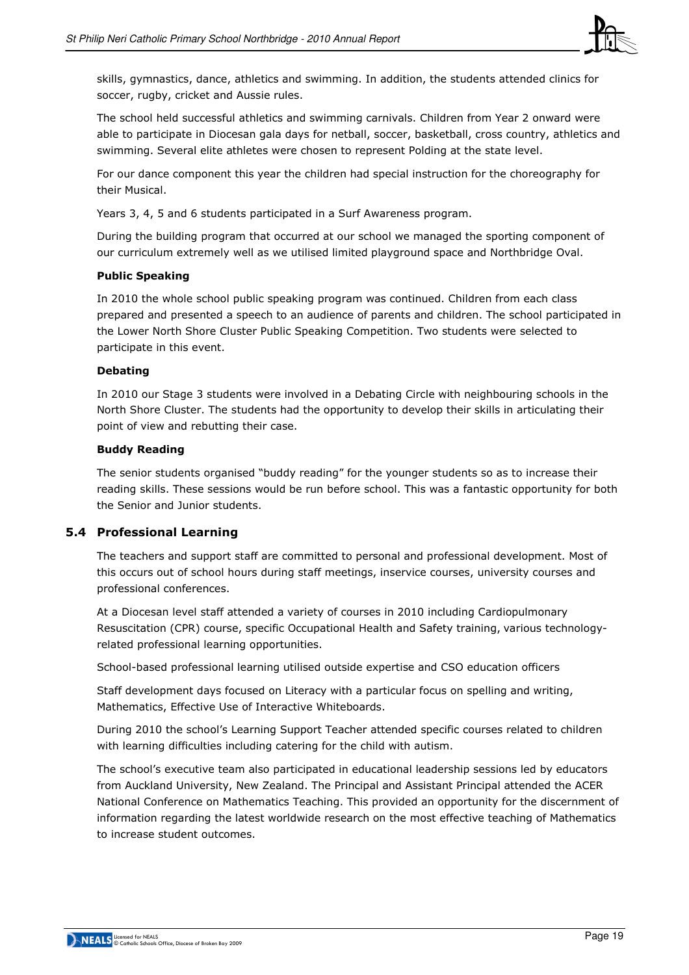

skills, gymnastics, dance, athletics and swimming. In addition, the students attended clinics for soccer, rugby, cricket and Aussie rules.

The school held successful athletics and swimming carnivals. Children from Year 2 onward were able to participate in Diocesan gala days for netball, soccer, basketball, cross country, athletics and swimming. Several elite athletes were chosen to represent Polding at the state level.

For our dance component this year the children had special instruction for the choreography for their Musical.

Years 3, 4, 5 and 6 students participated in a Surf Awareness program.

During the building program that occurred at our school we managed the sporting component of our curriculum extremely well as we utilised limited playground space and Northbridge Oval.

#### Public Speaking

In 2010 the whole school public speaking program was continued. Children from each class prepared and presented a speech to an audience of parents and children. The school participated in the Lower North Shore Cluster Public Speaking Competition. Two students were selected to participate in this event.

#### Debating

In 2010 our Stage 3 students were involved in a Debating Circle with neighbouring schools in the North Shore Cluster. The students had the opportunity to develop their skills in articulating their point of view and rebutting their case.

#### Buddy Reading

The senior students organised "buddy reading" for the younger students so as to increase their reading skills. These sessions would be run before school. This was a fantastic opportunity for both the Senior and Junior students.

#### 5.4 Professional Learning

The teachers and support staff are committed to personal and professional development. Most of this occurs out of school hours during staff meetings, inservice courses, university courses and professional conferences.

At a Diocesan level staff attended a variety of courses in 2010 including Cardiopulmonary Resuscitation (CPR) course, specific Occupational Health and Safety training, various technologyrelated professional learning opportunities.

School-based professional learning utilised outside expertise and CSO education officers

Staff development days focused on Literacy with a particular focus on spelling and writing, Mathematics, Effective Use of Interactive Whiteboards.

During 2010 the school's Learning Support Teacher attended specific courses related to children with learning difficulties including catering for the child with autism.

The school's executive team also participated in educational leadership sessions led by educators from Auckland University, New Zealand. The Principal and Assistant Principal attended the ACER National Conference on Mathematics Teaching. This provided an opportunity for the discernment of information regarding the latest worldwide research on the most effective teaching of Mathematics to increase student outcomes.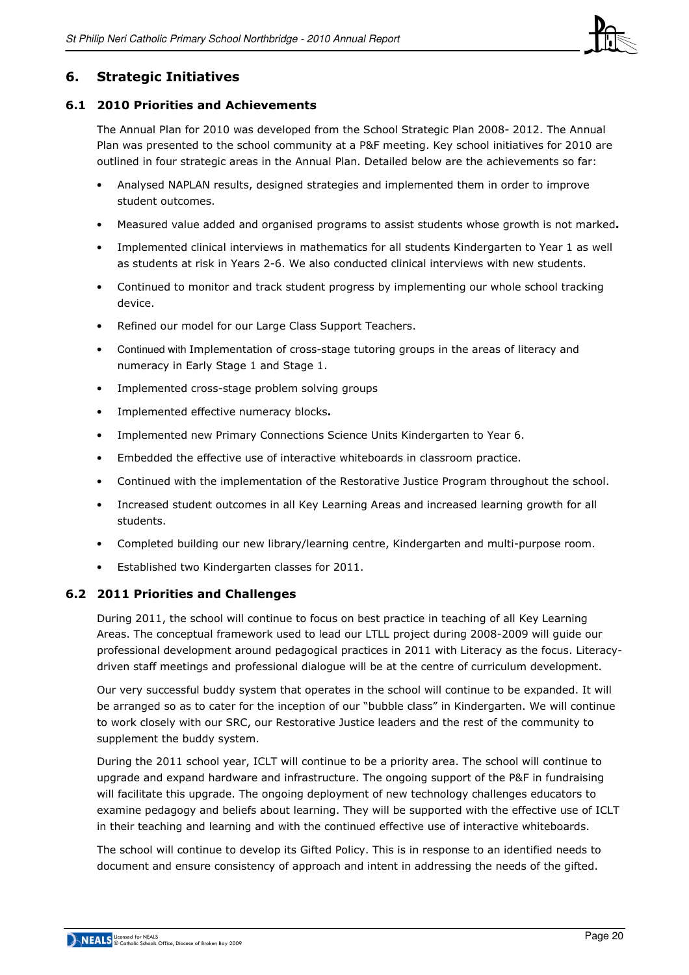

## 6. Strategic Initiatives

#### 6.1 2010 Priorities and Achievements

The Annual Plan for 2010 was developed from the School Strategic Plan 2008- 2012. The Annual Plan was presented to the school community at a P&F meeting. Key school initiatives for 2010 are outlined in four strategic areas in the Annual Plan. Detailed below are the achievements so far:

- Analysed NAPLAN results, designed strategies and implemented them in order to improve student outcomes.
- Measured value added and organised programs to assist students whose growth is not marked.
- Implemented clinical interviews in mathematics for all students Kindergarten to Year 1 as well as students at risk in Years 2-6. We also conducted clinical interviews with new students.
- Continued to monitor and track student progress by implementing our whole school tracking device.
- Refined our model for our Large Class Support Teachers.
- Continued with Implementation of cross-stage tutoring groups in the areas of literacy and numeracy in Early Stage 1 and Stage 1.
- Implemented cross-stage problem solving groups
- Implemented effective numeracy blocks.
- Implemented new Primary Connections Science Units Kindergarten to Year 6.
- Embedded the effective use of interactive whiteboards in classroom practice.
- Continued with the implementation of the Restorative Justice Program throughout the school.
- Increased student outcomes in all Key Learning Areas and increased learning growth for all students.
- Completed building our new library/learning centre, Kindergarten and multi-purpose room.
- Established two Kindergarten classes for 2011.

#### 6.2 2011 Priorities and Challenges

During 2011, the school will continue to focus on best practice in teaching of all Key Learning Areas. The conceptual framework used to lead our LTLL project during 2008-2009 will guide our professional development around pedagogical practices in 2011 with Literacy as the focus. Literacydriven staff meetings and professional dialogue will be at the centre of curriculum development.

Our very successful buddy system that operates in the school will continue to be expanded. It will be arranged so as to cater for the inception of our "bubble class" in Kindergarten. We will continue to work closely with our SRC, our Restorative Justice leaders and the rest of the community to supplement the buddy system.

During the 2011 school year, ICLT will continue to be a priority area. The school will continue to upgrade and expand hardware and infrastructure. The ongoing support of the P&F in fundraising will facilitate this upgrade. The ongoing deployment of new technology challenges educators to examine pedagogy and beliefs about learning. They will be supported with the effective use of ICLT in their teaching and learning and with the continued effective use of interactive whiteboards.

The school will continue to develop its Gifted Policy. This is in response to an identified needs to document and ensure consistency of approach and intent in addressing the needs of the gifted.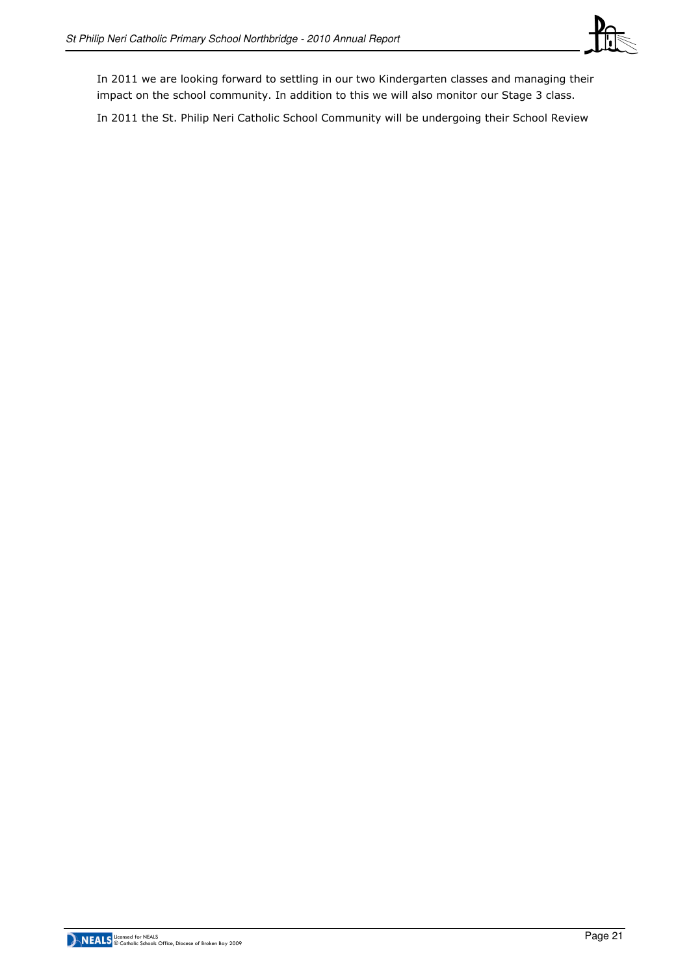

In 2011 we are looking forward to settling in our two Kindergarten classes and managing their impact on the school community. In addition to this we will also monitor our Stage 3 class.

In 2011 the St. Philip Neri Catholic School Community will be undergoing their School Review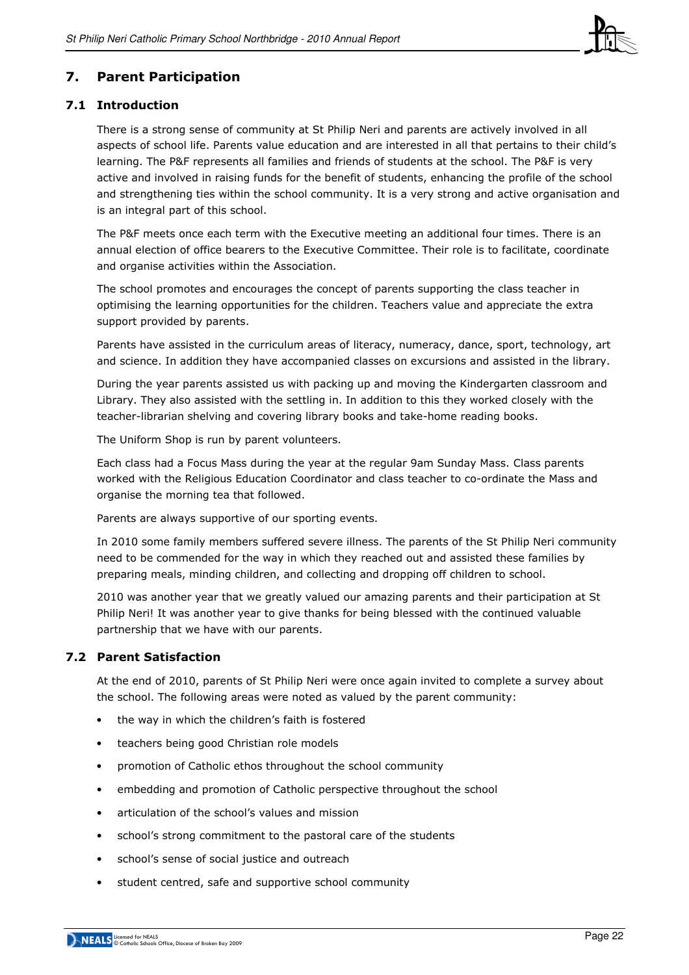

## 7. Parent Participation

#### 7.1 Introduction

There is a strong sense of community at St Philip Neri and parents are actively involved in all aspects of school life. Parents value education and are interested in all that pertains to their child's learning. The P&F represents all families and friends of students at the school. The P&F is very active and involved in raising funds for the benefit of students, enhancing the profile of the school and strengthening ties within the school community. It is a very strong and active organisation and is an integral part of this school.

The P&F meets once each term with the Executive meeting an additional four times. There is an annual election of office bearers to the Executive Committee. Their role is to facilitate, coordinate and organise activities within the Association.

The school promotes and encourages the concept of parents supporting the class teacher in optimising the learning opportunities for the children. Teachers value and appreciate the extra support provided by parents.

Parents have assisted in the curriculum areas of literacy, numeracy, dance, sport, technology, art and science. In addition they have accompanied classes on excursions and assisted in the library.

During the year parents assisted us with packing up and moving the Kindergarten classroom and Library. They also assisted with the settling in. In addition to this they worked closely with the teacher-librarian shelving and covering library books and take-home reading books.

The Uniform Shop is run by parent volunteers.

Each class had a Focus Mass during the year at the regular 9am Sunday Mass. Class parents worked with the Religious Education Coordinator and class teacher to co-ordinate the Mass and organise the morning tea that followed.

Parents are always supportive of our sporting events.

In 2010 some family members suffered severe illness. The parents of the St Philip Neri community need to be commended for the way in which they reached out and assisted these families by preparing meals, minding children, and collecting and dropping off children to school.

2010 was another year that we greatly valued our amazing parents and their participation at St Philip Neri! It was another year to give thanks for being blessed with the continued valuable partnership that we have with our parents.

## 7.2 Parent Satisfaction

At the end of 2010, parents of St Philip Neri were once again invited to complete a survey about the school. The following areas were noted as valued by the parent community:

- the way in which the children's faith is fostered
- teachers being good Christian role models
- promotion of Catholic ethos throughout the school community
- embedding and promotion of Catholic perspective throughout the school
- articulation of the school's values and mission
- school's strong commitment to the pastoral care of the students
- school's sense of social justice and outreach
- student centred, safe and supportive school community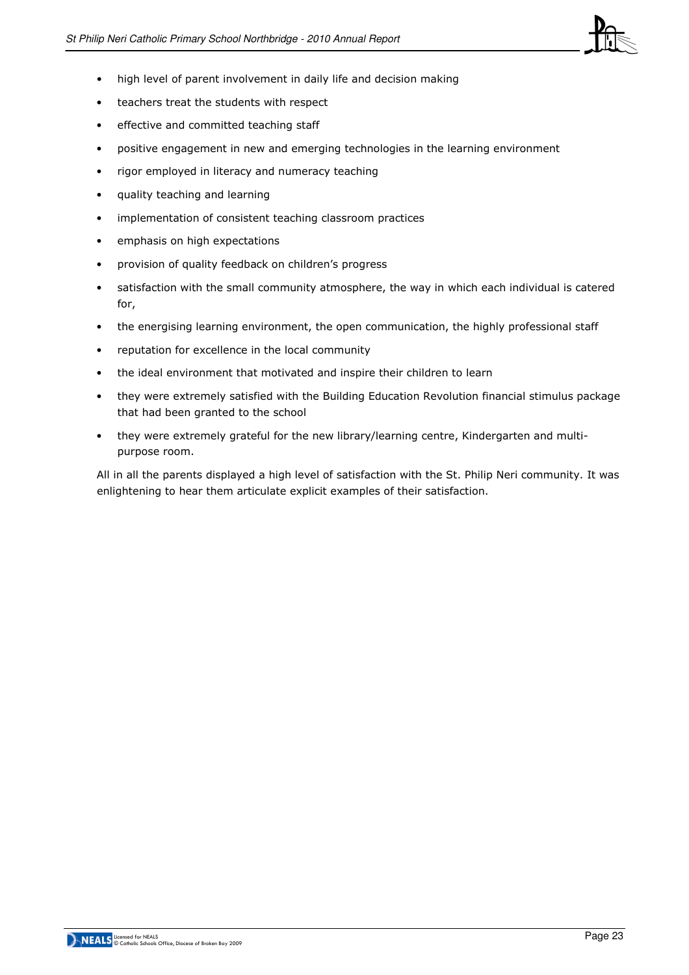

- high level of parent involvement in daily life and decision making
- teachers treat the students with respect
- effective and committed teaching staff
- positive engagement in new and emerging technologies in the learning environment
- rigor employed in literacy and numeracy teaching
- quality teaching and learning
- implementation of consistent teaching classroom practices
- emphasis on high expectations
- provision of quality feedback on children's progress
- satisfaction with the small community atmosphere, the way in which each individual is catered for,
- the energising learning environment, the open communication, the highly professional staff
- reputation for excellence in the local community
- the ideal environment that motivated and inspire their children to learn
- they were extremely satisfied with the Building Education Revolution financial stimulus package that had been granted to the school
- they were extremely grateful for the new library/learning centre, Kindergarten and multipurpose room.

All in all the parents displayed a high level of satisfaction with the St. Philip Neri community. It was enlightening to hear them articulate explicit examples of their satisfaction.